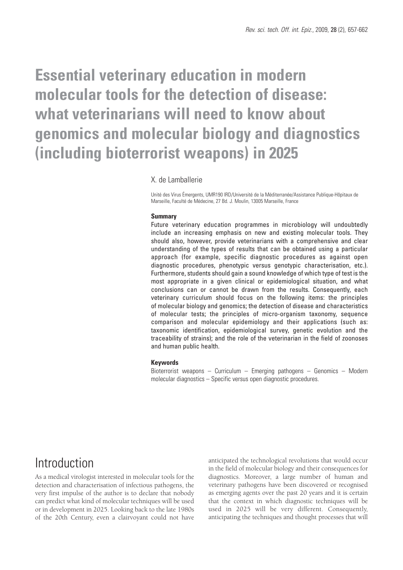# **Essential veterinary education in modern molecular tools for the detection of disease: what veterinarians will need to know about genomics and molecular biology and diagnostics (including bioterrorist weapons) in 2025**

### X. de Lamballerie

Unité des Virus Émergents, UMR190 IRD/Université de la Méditerranée/Assistance Publique-Hôpitaux de Marseille, Faculté de Médecine, 27 Bd. J. Moulin, 13005 Marseille, France

#### **Summary**

Future veterinary education programmes in microbiology will undoubtedly include an increasing emphasis on new and existing molecular tools. They should also, however, provide veterinarians with a comprehensive and clear understanding of the types of results that can be obtained using a particular approach (for example, specific diagnostic procedures as against open diagnostic procedures, phenotypic versus genotypic characterisation, etc.). Furthermore, students should gain a sound knowledge of which type of test is the most appropriate in a given clinical or epidemiological situation, and what conclusions can or cannot be drawn from the results. Consequently, each veterinary curriculum should focus on the following items: the principles of molecular biology and genomics; the detection of disease and characteristics of molecular tests; the principles of micro-organism taxonomy, sequence comparison and molecular epidemiology and their applications (such as: taxonomic identification, epidemiological survey, genetic evolution and the traceability of strains); and the role of the veterinarian in the field of zoonoses and human public health.

#### **Keywords**

Bioterrorist weapons – Curriculum – Emerging pathogens – Genomics – Modern molecular diagnostics – Specific versus open diagnostic procedures.

### Introduction

As a medical virologist interested in molecular tools for the detection and characterisation of infectious pathogens, the very first impulse of the author is to declare that nobody can predict what kind of molecular techniques will be used or in development in 2025. Looking back to the late 1980s of the 20th Century, even a clairvoyant could not have anticipated the technological revolutions that would occur in the field of molecular biology and their consequences for diagnostics. Moreover, a large number of human and veterinary pathogens have been discovered or recognised as emerging agents over the past 20 years and it is certain that the context in which diagnostic techniques will be used in 2025 will be very different. Consequently, anticipating the techniques and thought processes that will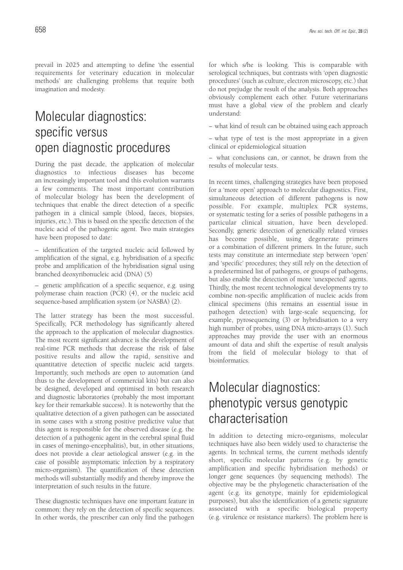prevail in 2025 and attempting to define 'the essential requirements for veterinary education in molecular methods' are challenging problems that require both imagination and modesty.

# Molecular diagnostics: specific versus open diagnostic procedures

During the past decade, the application of molecular diagnostics to infectious diseases has become an increasingly important tool and this evolution warrants a few comments. The most important contribution of molecular biology has been the development of techniques that enable the direct detection of a specific pathogen in a clinical sample (blood, faeces, biopsies, injuries, etc.). This is based on the specific detection of the nucleic acid of the pathogenic agent. Two main strategies have been proposed to date:

– identification of the targeted nucleic acid followed by amplification of the signal, e.g. hybridisation of a specific probe and amplification of the hybridisation signal using branched deoxyribonucleic acid (DNA) (5)

– genetic amplification of a specific sequence, e.g. using polymerase chain reaction (PCR) (4), or the nucleic acid sequence-based amplification system (or NASBA) (2).

The latter strategy has been the most successful. Specifically, PCR methodology has significantly altered the approach to the application of molecular diagnostics. The most recent significant advance is the development of real-time PCR methods that decrease the risk of false positive results and allow the rapid, sensitive and quantitative detection of specific nucleic acid targets. Importantly, such methods are open to automation (and thus to the development of commercial kits) but can also be designed, developed and optimised in both research and diagnostic laboratories (probably the most important key for their remarkable success). It is noteworthy that the qualitative detection of a given pathogen can be associated in some cases with a strong positive predictive value that this agent is responsible for the observed disease (e.g. the detection of a pathogenic agent in the cerebral spinal fluid in cases of meningo-encephalitis), but, in other situations, does not provide a clear aetiological answer (e.g. in the case of possible asymptomatic infection by a respiratory micro-organism). The quantification of these detection methods will substantially modify and thereby improve the interpretation of such results in the future.

These diagnostic techniques have one important feature in common: they rely on the detection of specific sequences. In other words, the prescriber can only find the pathogen for which s/he is looking. This is comparable with serological techniques, but contrasts with 'open diagnostic procedures' (such as culture, electron microscopy, etc.) that do not prejudge the result of the analysis. Both approaches obviously complement each other. Future veterinarians must have a global view of the problem and clearly understand:

− what kind of result can be obtained using each approach

− what type of test is the most appropriate in a given clinical or epidemiological situation

− what conclusions can, or cannot, be drawn from the results of molecular tests.

In recent times, challenging strategies have been proposed for a 'more open' approach to molecular diagnostics. First, simultaneous detection of different pathogens is now possible. For example, multiplex PCR systems, or systematic testing for a series of possible pathogens in a particular clinical situation, have been developed. Secondly, generic detection of genetically related viruses has become possible, using degenerate primers or a combination of different primers. In the future, such tests may constitute an intermediate step between 'open' and 'specific' procedures; they still rely on the detection of a predetermined list of pathogens, or groups of pathogens, but also enable the detection of more 'unexpected' agents. Thirdly, the most recent technological developments try to combine non-specific amplification of nucleic acids from clinical specimens (this remains an essential issue in pathogen detection) with large-scale sequencing, for example, pyrosequencing (3) or hybridisation to a very high number of probes, using DNA micro-arrays (1). Such approaches may provide the user with an enormous amount of data and shift the expertise of result analysis from the field of molecular biology to that of bioinformatics.

# Molecular diagnostics: phenotypic versus genotypic characterisation

In addition to detecting micro-organisms, molecular techniques have also been widely used to characterise the agents. In technical terms, the current methods identify short, specific molecular patterns (e.g. by genetic amplification and specific hybridisation methods) or longer gene sequences (by sequencing methods). The objective may be the phylogenetic characterisation of the agent (e.g. its genotype, mainly for epidemiological purposes), but also the identification of a genetic signature associated with a specific biological property (e.g. virulence or resistance markers). The problem here is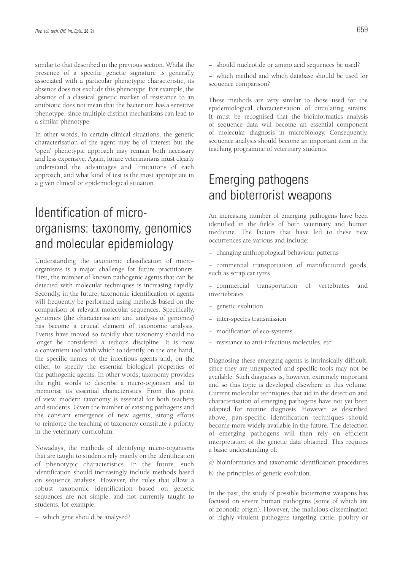similar to that described in the previous section. Whilst the presence of a specific genetic signature is generally associated with a particular phenotypic characteristic, its absence does not exclude this phenotype. For example, the absence of a classical genetic marker of resistance to an antibiotic does not mean that the bacterium has a sensitive phenotype, since multiple distinct mechanisms can lead to a similar phenotype.

In other words, in certain clinical situations, the genetic characterisation of the agent may be of interest but the 'open' phenotypic approach may remain both necessary and less expensive. Again, future veterinarians must clearly understand the advantages and limitations of each approach, and what kind of test is the most appropriate in a given clinical or epidemiological situation.

# Identification of microorganisms: taxonomy, genomics and molecular epidemiology

Understanding the taxonomic classification of microorganisms is a major challenge for future practitioners. First, the number of known pathogenic agents that can be detected with molecular techniques is increasing rapidly. Secondly, in the future, taxonomic identification of agents will frequently be performed using methods based on the comparison of relevant molecular sequences. Specifically, genomics (the characterisation and analysis of genomes) has become a crucial element of taxonomic analysis. Events have moved so rapidly that taxonomy should no longer be considered a tedious discipline. It is now a convenient tool with which to identify, on the one hand, the specific names of the infectious agents and, on the other, to specify the essential biological properties of the pathogenic agents. In other words, taxonomy provides the right words to describe a micro-organism and to memorise its essential characteristics. From this point of view, modern taxonomy is essential for both teachers and students. Given the number of existing pathogens and the constant emergence of new agents, strong efforts to reinforce the teaching of taxonomy constitute a priority in the veterinary curriculum.

Nowadays, the methods of identifying micro-organisms that are taught to students rely mainly on the identification of phenotypic characteristics. In the future, such identification should increasingly include methods based on sequence analysis. However, the rules that allow a robust taxonomic identification based on genetic sequences are not simple, and not currently taught to students, for example:

− which gene should be analysed?

- − should nucleotide or amino acid sequences be used?
- − which method and which database should be used for sequence comparison?

These methods are very similar to those used for the epidemiological characterisation of circulating strains. It must be recognised that the bioinformatics analysis of sequence data will become an essential component of molecular diagnosis in microbiology. Consequently, sequence analysis should become an important item in the teaching programme of veterinary students.

## Emerging pathogens and bioterrorist weapons

An increasing number of emerging pathogens have been identified in the fields of both veterinary and human medicine. The factors that have led to these new occurrences are various and include:

- − changing anthropological behaviour patterns
- − commercial transportation of manufactured goods, such as scrap car tyres
- commercial transportation of vertebrates and invertebrates
- − genetic evolution
- − inter-species transmission
- − modification of eco-systems
- − resistance to anti-infectious molecules, etc.

Diagnosing these emerging agents is intrinsically difficult, since they are unexpected and specific tools may not be available. Such diagnosis is, however, extremely important and so this topic is developed elsewhere in this volume. Current molecular techniques that aid in the detection and characterisation of emerging pathogens have not yet been adapted for routine diagnosis. However, as described above, pan-specific identification techniques should become more widely available in the future. The detection of emerging pathogens will then rely on efficient interpretation of the genetic data obtained. This requires a basic understanding of:

- *a)* bioinformatics and taxonomic identification procedures
- *b)* the principles of genetic evolution.

In the past, the study of possible bioterrorist weapons has focused on severe human pathogens (some of which are of zoonotic origin). However, the malicious dissemination of highly virulent pathogens targeting cattle, poultry or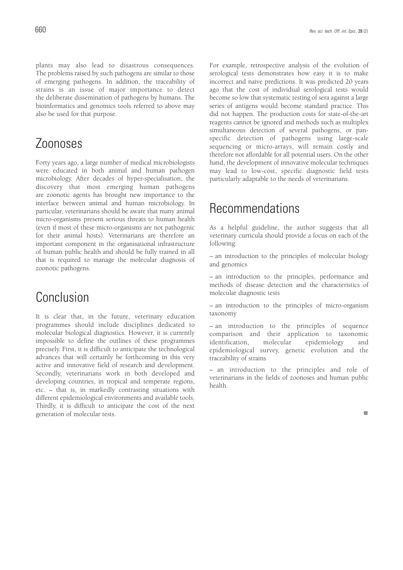plants may also lead to disastrous consequences. The problems raised by such pathogens are similar to those of emerging pathogens. In addition, the traceability of strains is an issue of major importance to detect the deliberate dissemination of pathogens by humans. The bioinformatics and genomics tools referred to above may also be used for that purpose.

### Zoonoses

Forty years ago, a large number of medical microbiologists were educated in both animal and human pathogen microbiology. After decades of hyper-specialisation, the discovery that most emerging human pathogens are zoonotic agents has brought new importance to the interface between animal and human microbiology. In particular, veterinarians should be aware that many animal micro-organisms present serious threats to human health (even if most of these micro-organisms are not pathogenic for their animal hosts). Veterinarians are therefore an important component in the organisational infrastructure of human public health and should be fully trained in all that is required to manage the molecular diagnosis of zoonotic pathogens.

# Conclusion

It is clear that, in the future, veterinary education programmes should include disciplines dedicated to molecular biological diagnostics. However, it is currently impossible to define the outlines of these programmes precisely. First, it is difficult to anticipate the technological advances that will certainly be forthcoming in this very active and innovative field of research and development. Secondly, veterinarians work in both developed and developing countries, in tropical and temperate regions, etc. – that is, in markedly contrasting situations with different epidemiological environments and available tools. Thirdly, it is difficult to anticipate the cost of the next generation of molecular tests.

For example, retrospective analysis of the evolution of serological tests demonstrates how easy it is to make incorrect and naïve predictions. It was predicted 20 years ago that the cost of individual serological tests would become so low that systematic testing of sera against a large series of antigens would become standard practice. This did not happen. The production costs for state-of-the-art reagents cannot be ignored and methods such as multiplex simultaneous detection of several pathogens, or panspecific detection of pathogens using large-scale sequencing or micro-arrays, will remain costly and therefore not affordable for all potential users. On the other hand, the development of innovative molecular techniques may lead to low-cost, specific diagnostic field tests particularly adaptable to the needs of veterinarians.

### Recommendations

As a helpful guideline, the author suggests that all veterinary curricula should provide a focus on each of the following:

– an introduction to the principles of molecular biology and genomics

– an introduction to the principles, performance and methods of disease detection and the characteristics of molecular diagnostic tests

– an introduction to the principles of micro-organism taxonomy

– an introduction to the principles of sequence comparison and their application to taxonomic identification, molecular epidemiology and epidemiological survey, genetic evolution and the traceability of strains

– an introduction to the principles and role of veterinarians in the fields of zoonoses and human public health.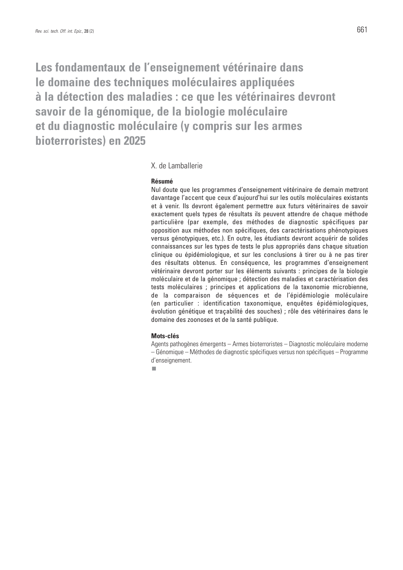**Les fondamentaux de l'enseignement vétérinaire dans le domaine des techniques moléculaires appliquées à la détection des maladies : ce que les vétérinaires devront savoir de la génomique, de la biologie moléculaire et du diagnostic moléculaire (y compris sur les armes bioterroristes) en 2025**

### X. de Lamballerie

### **Résumé**

Nul doute que les programmes d'enseignement vétérinaire de demain mettront davantage l'accent que ceux d'aujourd'hui sur les outils moléculaires existants et à venir. Ils devront également permettre aux futurs vétérinaires de savoir exactement quels types de résultats ils peuvent attendre de chaque méthode particulière (par exemple, des méthodes de diagnostic spécifiques par opposition aux méthodes non spécifiques, des caractérisations phénotypiques versus génotypiques, etc.). En outre, les étudiants devront acquérir de solides connaissances sur les types de tests le plus appropriés dans chaque situation clinique ou épidémiologique, et sur les conclusions à tirer ou à ne pas tirer des résultats obtenus. En conséquence, les programmes d'enseignement vétérinaire devront porter sur les éléments suivants : principes de la biologie moléculaire et de la génomique ; détection des maladies et caractérisation des tests moléculaires ; principes et applications de la taxonomie microbienne, de la comparaison de séquences et de l'épidémiologie moléculaire (en particulier : identification taxonomique, enquêtes épidémiologiques, évolution génétique et traçabilité des souches) ; rôle des vétérinaires dans le domaine des zoonoses et de la santé publique.

### **Mots-clés**

Agents pathogènes émergents – Armes bioterroristes – Diagnostic moléculaire moderne – Génomique – Méthodes de diagnostic spécifiques versus non spécifiques – Programme d'enseignement.

п